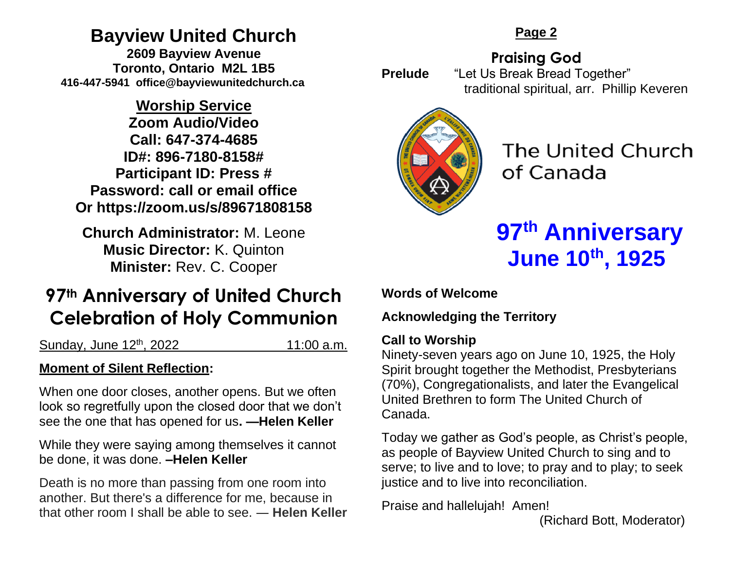# **Bayview United Church**

**2609 Bayview Avenue Toronto, Ontario M2L 1B5 416-447-5941 office@bayviewunitedchurch.ca** 

# **Worship Service**

**Zoom Audio/Video Call: 647-374-4685 ID#: 896-7180-8158# Participant ID: Press # Password: call or email office Or https://zoom.us/s/89671808158** 

**Church Administrator:** M. Leone **Music Director:** K. Quinton **Minister:** Rev. C. Cooper

# **97th Anniversary of United Church Celebration of Holy Communion**

Sunday, June 12<sup>th</sup>, 2022 11:00 a.m.

# **Moment of Silent Reflection:**

When one door closes, another opens. But we often look so regretfully upon the closed door that we don't see the one that has opened for us**. —Helen Keller**

While they were saying among themselves it cannot be done, it was done. **–Helen Keller**

Death is no more than passing from one room into another. But there's a difference for me, because in that other room I shall be able to see. ― **Helen Keller**

## **Page 2**

**Praising God Prelude** "Let Us Break Bread Together" traditional spiritual, arr. Phillip Keveren



The United Church of Canada

# **97th Anniversary June 10th, 1925**

**Words of Welcome** 

**Acknowledging the Territory**

#### **Call to Worship**

Ninety-seven years ago on June 10, 1925, the Holy Spirit brought together the Methodist, Presbyterians (70%), Congregationalists, and later the Evangelical United Brethren to form The United Church of Canada.

Today we gather as God's people, as Christ's people, as people of Bayview United Church to sing and to serve; to live and to love; to pray and to play; to seek justice and to live into reconciliation.

Praise and hallelujah! Amen!

(Richard Bott, Moderator)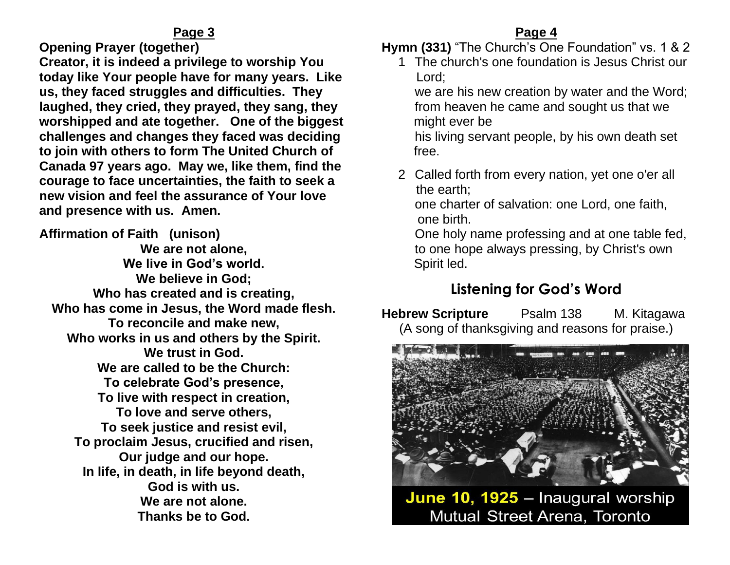**Opening Prayer (together)** 

**Creator, it is indeed a privilege to worship You today like Your people have for many years. Like us, they faced struggles and difficulties. They laughed, they cried, they prayed, they sang, they worshipped and ate together. One of the biggest challenges and changes they faced was deciding to join with others to form The United Church of Canada 97 years ago. May we, like them, find the courage to face uncertainties, the faith to seek a new vision and feel the assurance of Your love and presence with us. Amen.**

**Affirmation of Faith (unison) We are not alone, We live in God's world. We believe in God; Who has created and is creating, Who has come in Jesus, the Word made flesh. To reconcile and make new, Who works in us and others by the Spirit. We trust in God. We are called to be the Church: To celebrate God's presence, To live with respect in creation, To love and serve others, To seek justice and resist evil, To proclaim Jesus, crucified and risen, Our judge and our hope. In life, in death, in life beyond death, God is with us. We are not alone. Thanks be to God.**

#### **Page 4**

**Hymn (331)** "The Church's One Foundation" vs. 1 & 2

1 The church's one foundation is Jesus Christ our Lord;

we are his new creation by water and the Word; from heaven he came and sought us that we might ever be

his living servant people, by his own death set free.

2 Called forth from every nation, yet one o'er all the earth;

one charter of salvation: one Lord, one faith, one birth.

One holy name professing and at one table fed, to one hope always pressing, by Christ's own Spirit led.

# **Listening for God's Word**

**Hebrew Scripture** Psalm 138 M. Kitagawa (A song of thanksgiving and reasons for praise.)



June 10, 1925 - Inaugural worship Mutual Street Arena, Toronto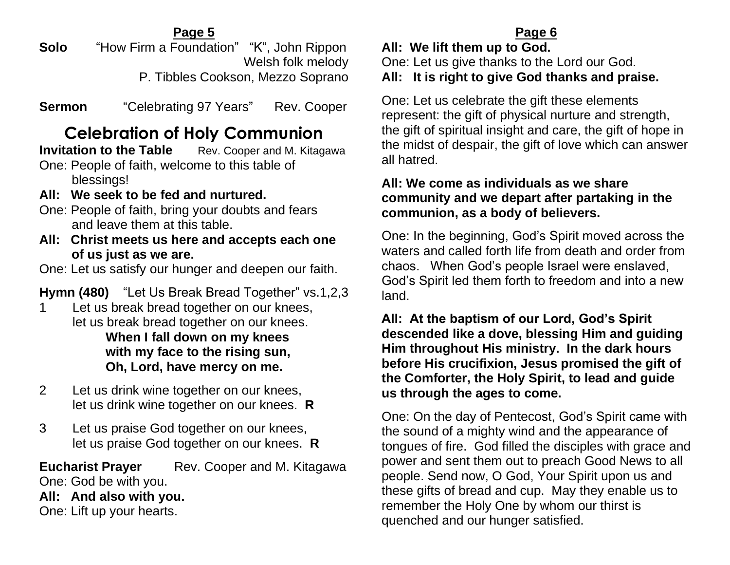**Solo** "How Firm a Foundation" "K", John Rippon Welsh folk melody P. Tibbles Cookson, Mezzo Soprano

**Sermon** "Celebrating 97 Years"Rev. Cooper

# **Celebration of Holy Communion**

**Invitation to the Table** Rev. Cooper and M. Kitagawa One: People of faith, welcome to this table of

blessings!

- **All: We seek to be fed and nurtured.**
- One: People of faith, bring your doubts and fears and leave them at this table.
- **All: Christ meets us here and accepts each one of us just as we are.**

One: Let us satisfy our hunger and deepen our faith.

**Hymn (480)** "Let Us Break Bread Together" vs.1,2,3

- 1 Let us break bread together on our knees, let us break bread together on our knees. **When I fall down on my knees with my face to the rising sun, Oh, Lord, have mercy on me.**
- 2 Let us drink wine together on our knees, let us drink wine together on our knees. **R**
- 3 Let us praise God together on our knees, let us praise God together on our knees. **R**

**Eucharist Prayer** Rev. Cooper and M. Kitagawa One: God be with you.

**All: And also with you.**

One: Lift up your hearts.

# **Page 6**

**All: We lift them up to God.** One: Let us give thanks to the Lord our God. **All: It is right to give God thanks and praise.**

One: Let us celebrate the gift these elements represent: the gift of physical nurture and strength, the gift of spiritual insight and care, the gift of hope in the midst of despair, the gift of love which can answer all hatred.

#### **All: We come as individuals as we share community and we depart after partaking in the communion, as a body of believers.**

One: In the beginning, God's Spirit moved across the waters and called forth life from death and order from chaos. When God's people Israel were enslaved, God's Spirit led them forth to freedom and into a new land.

**All: At the baptism of our Lord, God's Spirit descended like a dove, blessing Him and guiding Him throughout His ministry. In the dark hours before His crucifixion, Jesus promised the gift of the Comforter, the Holy Spirit, to lead and guide us through the ages to come.**

One: On the day of Pentecost, God's Spirit came with the sound of a mighty wind and the appearance of tongues of fire. God filled the disciples with grace and power and sent them out to preach Good News to all people. Send now, O God, Your Spirit upon us and these gifts of bread and cup. May they enable us to remember the Holy One by whom our thirst is quenched and our hunger satisfied.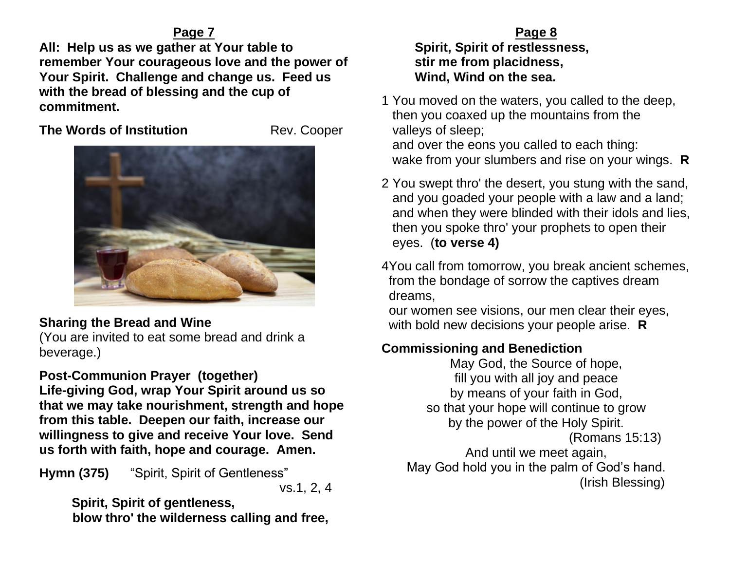**All: Help us as we gather at Your table to remember Your courageous love and the power of Your Spirit. Challenge and change us. Feed us with the bread of blessing and the cup of commitment.**

**The Words of Institution**  Rev. Cooper



## **Sharing the Bread and Wine**

(You are invited to eat some bread and drink a beverage.)

# **Post-Communion Prayer (together)**

**Life-giving God, wrap Your Spirit around us so that we may take nourishment, strength and hope from this table. Deepen our faith, increase our willingness to give and receive Your love. Send us forth with faith, hope and courage. Amen.**

**Hymn (375)** "Spirit, Spirit of Gentleness"

vs.1, 2, 4

 **Spirit, Spirit of gentleness, blow thro' the wilderness calling and free,**

#### **Page 8 Spirit, Spirit of restlessness, stir me from placidness, Wind, Wind on the sea.**

- 1 You moved on the waters, you called to the deep, then you coaxed up the mountains from the valleys of sleep; and over the eons you called to each thing: wake from your slumbers and rise on your wings. **R**
- 2 You swept thro' the desert, you stung with the sand, and you goaded your people with a law and a land; and when they were blinded with their idols and lies, then you spoke thro' your prophets to open their eyes. (**to verse 4)**
- 4You call from tomorrow, you break ancient schemes, from the bondage of sorrow the captives dream dreams,

 our women see visions, our men clear their eyes, with bold new decisions your people arise. **R**

# **Commissioning and Benediction**

May God, the Source of hope, fill you with all joy and peace by means of your faith in God, so that your hope will continue to grow by the power of the Holy Spirit. (Romans 15:13) And until we meet again, May God hold you in the palm of God's hand. (Irish Blessing)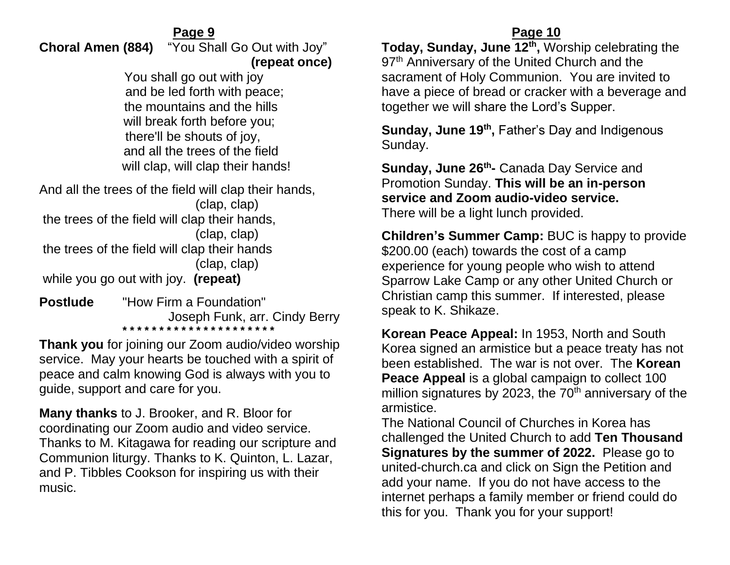**Choral Amen (884)** "You Shall Go Out with Joy"  **(repeat once)** 

> You shall go out with joy and be led forth with peace; the mountains and the hills will break forth before you; there'll be shouts of joy, and all the trees of the field will clap, will clap their hands!

And all the trees of the field will clap their hands, (clap, clap) the trees of the field will clap their hands, (clap, clap) the trees of the field will clap their hands (clap, clap) while you go out with joy. **(repeat)**

**Postlude** "How Firm a Foundation" Joseph Funk, arr. Cindy Berry **\* \* \* \* \* \* \* \* \* \* \* \* \* \* \* \* \* \* \* \* \*** 

**Thank you** for joining our Zoom audio/video worship service. May your hearts be touched with a spirit of peace and calm knowing God is always with you to guide, support and care for you.

**Many thanks** to J. Brooker, and R. Bloor for coordinating our Zoom audio and video service. Thanks to M. Kitagawa for reading our scripture and Communion liturgy. Thanks to K. Quinton, L. Lazar, and P. Tibbles Cookson for inspiring us with their music.

#### **Page 10**

**Today, Sunday, June 12th ,** Worship celebrating the 97<sup>th</sup> Anniversary of the United Church and the sacrament of Holy Communion. You are invited to have a piece of bread or cracker with a beverage and together we will share the Lord's Supper.

**Sunday, June 19th ,** Father's Day and Indigenous Sunday.

**Sunday, June 26th -** Canada Day Service and Promotion Sunday. **This will be an in-person service and Zoom audio-video service.** There will be a light lunch provided.

**Children's Summer Camp:** BUC is happy to provide \$200.00 (each) towards the cost of a camp experience for young people who wish to attend Sparrow Lake Camp or any other United Church or Christian camp this summer. If interested, please speak to K. Shikaze.

**Korean Peace Appeal:** In 1953, North and South Korea signed an armistice but a peace treaty has not been established. The war is not over. The **Korean Peace Appeal** is a global campaign to collect 100 million signatures by 2023, the  $70<sup>th</sup>$  anniversary of the armistice.

The National Council of Churches in Korea has challenged the United Church to add **Ten Thousand Signatures by the summer of 2022.** Please go to united-church.ca and click on Sign the Petition and add your name. If you do not have access to the internet perhaps a family member or friend could do this for you. Thank you for your support!